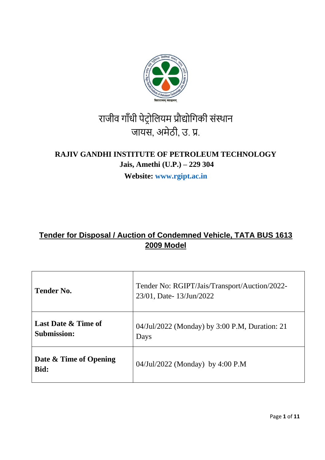

# राजीव गाँधी पेट्रोलियम प्रौद्योगिकी संस्थान जायस, अमेठी, उ. प्र.

## **RAJIV GANDHI INSTITUTE OF PETROLEUM TECHNOLOGY Jais, Amethi (U.P.) – 229 304**

**Website: www.rgipt.ac.in**

## **Tender for Disposal / Auction of Condemned Vehicle, TATA BUS 1613 2009 Model**

| <b>Tender No.</b>                                    | Tender No: RGIPT/Jais/Transport/Auction/2022-<br>23/01, Date-13/Jun/2022 |  |  |
|------------------------------------------------------|--------------------------------------------------------------------------|--|--|
| <b>Last Date &amp; Time of</b><br><b>Submission:</b> | 04/Jul/2022 (Monday) by 3:00 P.M, Duration: 21<br>Days                   |  |  |
| Date & Time of Opening<br>Bid:                       | 04/Jul/2022 (Monday) by 4:00 P.M                                         |  |  |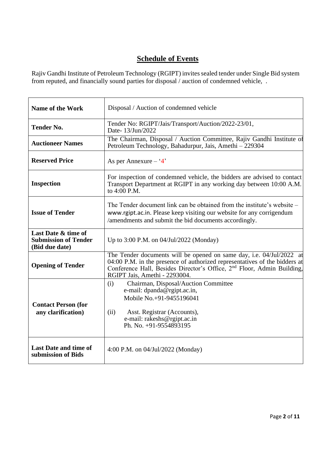## **Schedule of Events**

Rajiv Gandhi Institute of Petroleum Technology (RGIPT) invites sealed tender under Single Bid system from reputed, and financially sound parties for disposal / auction of condemned vehicle, .

| <b>Name of the Work</b>                                              | Disposal / Auction of condemned vehicle                                                                                                                                                                                                                                   |  |  |
|----------------------------------------------------------------------|---------------------------------------------------------------------------------------------------------------------------------------------------------------------------------------------------------------------------------------------------------------------------|--|--|
| <b>Tender No.</b>                                                    | Tender No: RGIPT/Jais/Transport/Auction/2022-23/01,<br>Date-13/Jun/2022                                                                                                                                                                                                   |  |  |
| <b>Auctioneer Names</b>                                              | The Chairman, Disposal / Auction Committee, Rajiv Gandhi Institute of<br>Petroleum Technology, Bahadurpur, Jais, Amethi - 229304                                                                                                                                          |  |  |
| <b>Reserved Price</b>                                                | As per Annexure $-$ '4'                                                                                                                                                                                                                                                   |  |  |
| <b>Inspection</b>                                                    | For inspection of condemned vehicle, the bidders are advised to contact<br>Transport Department at RGIPT in any working day between 10:00 A.M.<br>to 4:00 P.M.                                                                                                            |  |  |
| <b>Issue of Tender</b>                                               | The Tender document link can be obtained from the institute's website $-$<br>www.rgipt.ac.in. Please keep visiting our website for any corrigendum<br>/amendments and submit the bid documents accordingly.                                                               |  |  |
| Last Date & time of<br><b>Submission of Tender</b><br>(Bid due date) | Up to 3:00 P.M. on 04/Jul/2022 (Monday)                                                                                                                                                                                                                                   |  |  |
| <b>Opening of Tender</b>                                             | The Tender documents will be opened on same day, i.e. 04/Jul/2022 at<br>04:00 P.M. in the presence of authorized representatives of the bidders at<br>Conference Hall, Besides Director's Office, 2 <sup>nd</sup> Floor, Admin Building,<br>RGIPT Jais, Amethi - 2293004. |  |  |
| <b>Contact Person (for</b><br>any clarification)                     | Chairman, Disposal/Auction Committee<br>(i)<br>e-mail: dpanda@rgipt.ac.in,<br>Mobile No.+91-9455196041<br>Asst. Registrar (Accounts),<br>(ii)<br>e-mail: rakeshs@rgipt.ac.in<br>Ph. No. +91-9554893195                                                                    |  |  |
| <b>Last Date and time of</b><br>submission of Bids                   | 4:00 P.M. on 04/Jul/2022 (Monday)                                                                                                                                                                                                                                         |  |  |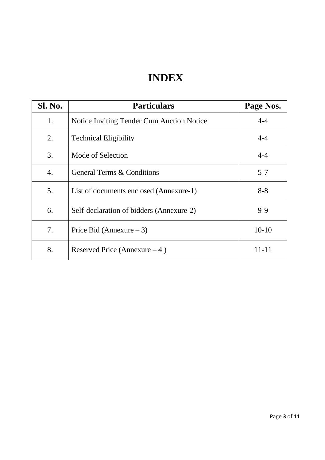## **INDEX**

| <b>Sl. No.</b>   | <b>Particulars</b>                        | Page Nos. |
|------------------|-------------------------------------------|-----------|
| 1.               | Notice Inviting Tender Cum Auction Notice | $4 - 4$   |
| 2.               | <b>Technical Eligibility</b>              | $4 - 4$   |
| 3.               | Mode of Selection                         | $4 - 4$   |
| $\overline{4}$ . | <b>General Terms &amp; Conditions</b>     | $5 - 7$   |
| 5.               | List of documents enclosed (Annexure-1)   | $8 - 8$   |
| 6.               | Self-declaration of bidders (Annexure-2)  | $9 - 9$   |
| 7.               | Price Bid (Annexure $-3$ )                | $10-10$   |
| 8.               | Reserved Price (Annexure $-4$ )           | 11-11     |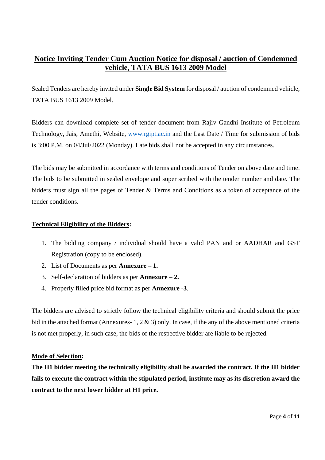### **Notice Inviting Tender Cum Auction Notice for disposal / auction of Condemned vehicle, TATA BUS 1613 2009 Model**

Sealed Tenders are hereby invited under **Single Bid System** for disposal / auction of condemned vehicle, TATA BUS 1613 2009 Model.

Bidders can download complete set of tender document from Rajiv Gandhi Institute of Petroleum Technology, Jais, Amethi, Website, [www.rgipt.ac.in](http://www.rgipt.ac.in/) and the Last Date / Time for submission of bids is 3:00 P.M. on 04/Jul/2022 (Monday). Late bids shall not be accepted in any circumstances.

The bids may be submitted in accordance with terms and conditions of Tender on above date and time. The bids to be submitted in sealed envelope and super scribed with the tender number and date. The bidders must sign all the pages of Tender & Terms and Conditions as a token of acceptance of the tender conditions.

#### **Technical Eligibility of the Bidders:**

- 1. The bidding company / individual should have a valid PAN and or AADHAR and GST Registration (copy to be enclosed).
- 2. List of Documents as per **Annexure – 1.**
- 3. Self-declaration of bidders as per **Annexure – 2.**
- 4. Properly filled price bid format as per **Annexure -3**.

The bidders are advised to strictly follow the technical eligibility criteria and should submit the price bid in the attached format (Annexures- 1, 2 & 3) only. In case, if the any of the above mentioned criteria is not met properly, in such case, the bids of the respective bidder are liable to be rejected.

#### **Mode of Selection:**

**The H1 bidder meeting the technically eligibility shall be awarded the contract. If the H1 bidder fails to execute the contract within the stipulated period, institute may as its discretion award the contract to the next lower bidder at H1 price.**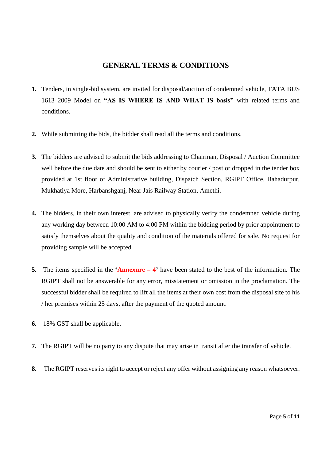### **GENERAL TERMS & CONDITIONS**

- **1.** Tenders, in single-bid system, are invited for disposal/auction of condemned vehicle, TATA BUS 1613 2009 Model on **"AS IS WHERE IS AND WHAT IS basis"** with related terms and conditions.
- **2.** While submitting the bids, the bidder shall read all the terms and conditions.
- **3.** The bidders are advised to submit the bids addressing to Chairman, Disposal / Auction Committee well before the due date and should be sent to either by courier / post or dropped in the tender box provided at 1st floor of Administrative building, Dispatch Section, RGIPT Office, Bahadurpur, Mukhatiya More, Harbanshganj, Near Jais Railway Station, Amethi.
- **4.** The bidders, in their own interest, are advised to physically verify the condemned vehicle during any working day between 10:00 AM to 4:00 PM within the bidding period by prior appointment to satisfy themselves about the quality and condition of the materials offered for sale. No request for providing sample will be accepted.
- **5.** The items specified in the **'Annexure – 4'** have been stated to the best of the information. The RGIPT shall not be answerable for any error, misstatement or omission in the proclamation. The successful bidder shall be required to lift all the items at their own cost from the disposal site to his / her premises within 25 days, after the payment of the quoted amount.
- **6.** 18% GST shall be applicable.
- **7.** The RGIPT will be no party to any dispute that may arise in transit after the transfer of vehicle.
- **8.** The RGIPT reserves its right to accept or reject any offer without assigning any reason whatsoever.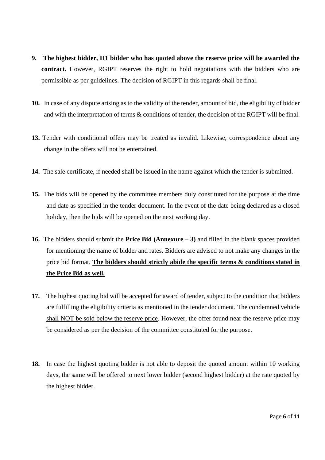- **9. The highest bidder, H1 bidder who has quoted above the reserve price will be awarded the contract.** However, RGIPT reserves the right to hold negotiations with the bidders who are permissible as per guidelines. The decision of RGIPT in this regards shall be final.
- **10.** In case of any dispute arising as to the validity of the tender, amount of bid, the eligibility of bidder and with the interpretation of terms & conditions of tender, the decision of the RGIPT will be final.
- **13.** Tender with conditional offers may be treated as invalid. Likewise, correspondence about any change in the offers will not be entertained.
- **14.** The sale certificate, if needed shall be issued in the name against which the tender is submitted.
- **15.** The bids will be opened by the committee members duly constituted for the purpose at the time and date as specified in the tender document. In the event of the date being declared as a closed holiday, then the bids will be opened on the next working day.
- **16.** The bidders should submit the **Price Bid (Annexure – 3)** and filled in the blank spaces provided for mentioning the name of bidder and rates. Bidders are advised to not make any changes in the price bid format. **The bidders should strictly abide the specific terms & conditions stated in the Price Bid as well.**
- **17.** The highest quoting bid will be accepted for award of tender, subject to the condition that bidders are fulfilling the eligibility criteria as mentioned in the tender document. The condemned vehicle shall NOT be sold below the reserve price. However, the offer found near the reserve price may be considered as per the decision of the committee constituted for the purpose.
- **18.** In case the highest quoting bidder is not able to deposit the quoted amount within 10 working days, the same will be offered to next lower bidder (second highest bidder) at the rate quoted by the highest bidder.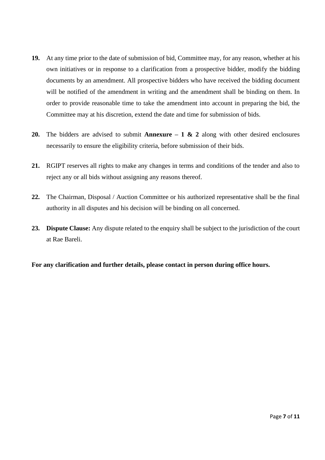- **19.** At any time prior to the date of submission of bid, Committee may, for any reason, whether at his own initiatives or in response to a clarification from a prospective bidder, modify the bidding documents by an amendment. All prospective bidders who have received the bidding document will be notified of the amendment in writing and the amendment shall be binding on them. In order to provide reasonable time to take the amendment into account in preparing the bid, the Committee may at his discretion, extend the date and time for submission of bids.
- **20.** The bidders are advised to submit **Annexure – 1 & 2** along with other desired enclosures necessarily to ensure the eligibility criteria, before submission of their bids.
- **21.** RGIPT reserves all rights to make any changes in terms and conditions of the tender and also to reject any or all bids without assigning any reasons thereof.
- **22.** The Chairman, Disposal / Auction Committee or his authorized representative shall be the final authority in all disputes and his decision will be binding on all concerned.
- **23. Dispute Clause:** Any dispute related to the enquiry shall be subject to the jurisdiction of the court at Rae Bareli.

**For any clarification and further details, please contact in person during office hours.**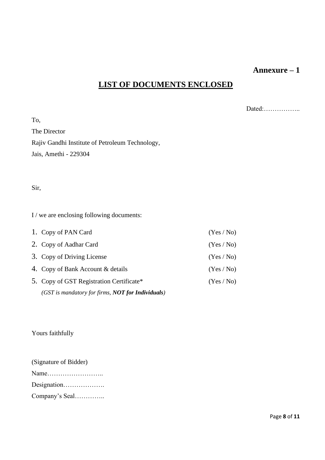### **Annexure – 1**

## **LIST OF DOCUMENTS ENCLOSED**

Dated:……………..

To, The Director Rajiv Gandhi Institute of Petroleum Technology, Jais, Amethi - 229304

Sir,

I / we are enclosing following documents:

| 1. Copy of PAN Card                               | (Yes/No) |
|---------------------------------------------------|----------|
| 2. Copy of Aadhar Card                            | (Yes/No) |
| 3. Copy of Driving License                        | (Yes/No) |
| 4. Copy of Bank Account & details                 | (Yes/No) |
| 5. Copy of GST Registration Certificate*          | (Yes/No) |
| (GST is mandatory for firms, NOT for Individuals) |          |

Yours faithfully

(Signature of Bidder) Name…………………….. Designation………………. Company's Seal…………..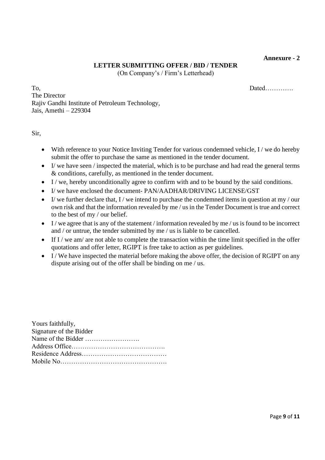**Annexure - 2** 

#### **LETTER SUBMITTING OFFER / BID / TENDER**

(On Company's / Firm's Letterhead)

To, Dated………….. The Director Rajiv Gandhi Institute of Petroleum Technology, Jais, Amethi – 229304

Sir,

 $Y = \alpha + 1 \alpha + 1$ 

- With reference to your Notice Inviting Tender for various condemned vehicle, I / we do hereby submit the offer to purchase the same as mentioned in the tender document.
- I/ we have seen / inspected the material, which is to be purchase and had read the general terms & conditions, carefully, as mentioned in the tender document.
- I/we, hereby unconditionally agree to confirm with and to be bound by the said conditions.
- I/ we have enclosed the document- PAN/AADHAR/DRIVING LICENSE/GST
- I/ we further declare that, I/ we intend to purchase the condemned items in question at my/our own risk and that the information revealed by me / us in the Tender Document is true and correct to the best of my / our belief.
- $\bullet$  I/ we agree that is any of the statement / information revealed by me / us is found to be incorrect and / or untrue, the tender submitted by me / us is liable to be cancelled.
- If I / we am/ are not able to complete the transaction within the time limit specified in the offer quotations and offer letter, RGIPT is free take to action as per guidelines.
- I/We have inspected the material before making the above offer, the decision of RGIPT on any dispute arising out of the offer shall be binding on me / us.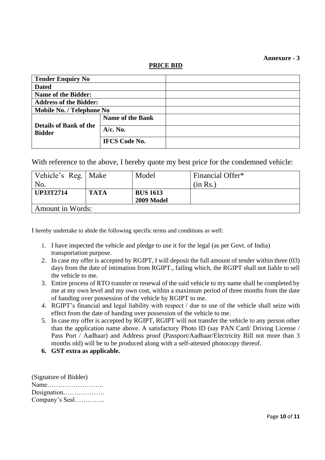#### **Annexure - 3**

**PRICE BID**

| <b>Tender Enquiry No</b>                       |                         |  |
|------------------------------------------------|-------------------------|--|
| <b>Dated</b>                                   |                         |  |
| <b>Name of the Bidder:</b>                     |                         |  |
| <b>Address of the Bidder:</b>                  |                         |  |
| Mobile No. / Telephone No                      |                         |  |
| <b>Details of Bank of the</b><br><b>Bidder</b> | <b>Name of the Bank</b> |  |
|                                                | $A/c.$ No.              |  |
|                                                | <b>IFCS Code No.</b>    |  |

With reference to the above, I hereby quote my best price for the condemned vehicle:

| Vehicle's Reg.   Make   |             | Model             | Financial Offer* |  |
|-------------------------|-------------|-------------------|------------------|--|
| No.                     |             |                   | (in Rs.)         |  |
| <b>UP33T2714</b>        | <b>TATA</b> | <b>BUS 1613</b>   |                  |  |
|                         |             | <b>2009 Model</b> |                  |  |
| <b>Amount in Words:</b> |             |                   |                  |  |

I hereby undertake to abide the following specific terms and conditions as well:

- 1. I have inspected the vehicle and pledge to use it for the legal (as per Govt. of India) transportation purpose.
- 2. In case my offer is accepted by RGIPT, I will deposit the full amount of tender within three (03) days from the date of intimation from RGIPT., failing which, the RGIPT shall not liable to sell the vehicle to me.
- 3. Entire process of RTO transfer or renewal of the said vehicle to my name shall be completed by me at my own level and my own cost, within a maximum period of three months from the date of handing over possession of the vehicle by RGIPT to me.
- 4. RGIPT's financial and legal liability with respect / due to use of the vehicle shall seize with effect from the date of handing over possession of the vehicle to me.
- 5. In case my offer is accepted by RGIPT, RGIPT will not transfer the vehicle to any person other than the application name above. A satisfactory Photo ID (say PAN Card/ Driving License / Pass Port / Aadhaar) and Address proof (Passport/Aadhaar/Electricity Bill not more than 3 months old) will be to be produced along with a self-attested photocopy thereof.
- **6. GST extra as applicable.**

(Signature of Bidder) Name…………………….. Designation………………. Company's Seal…………..